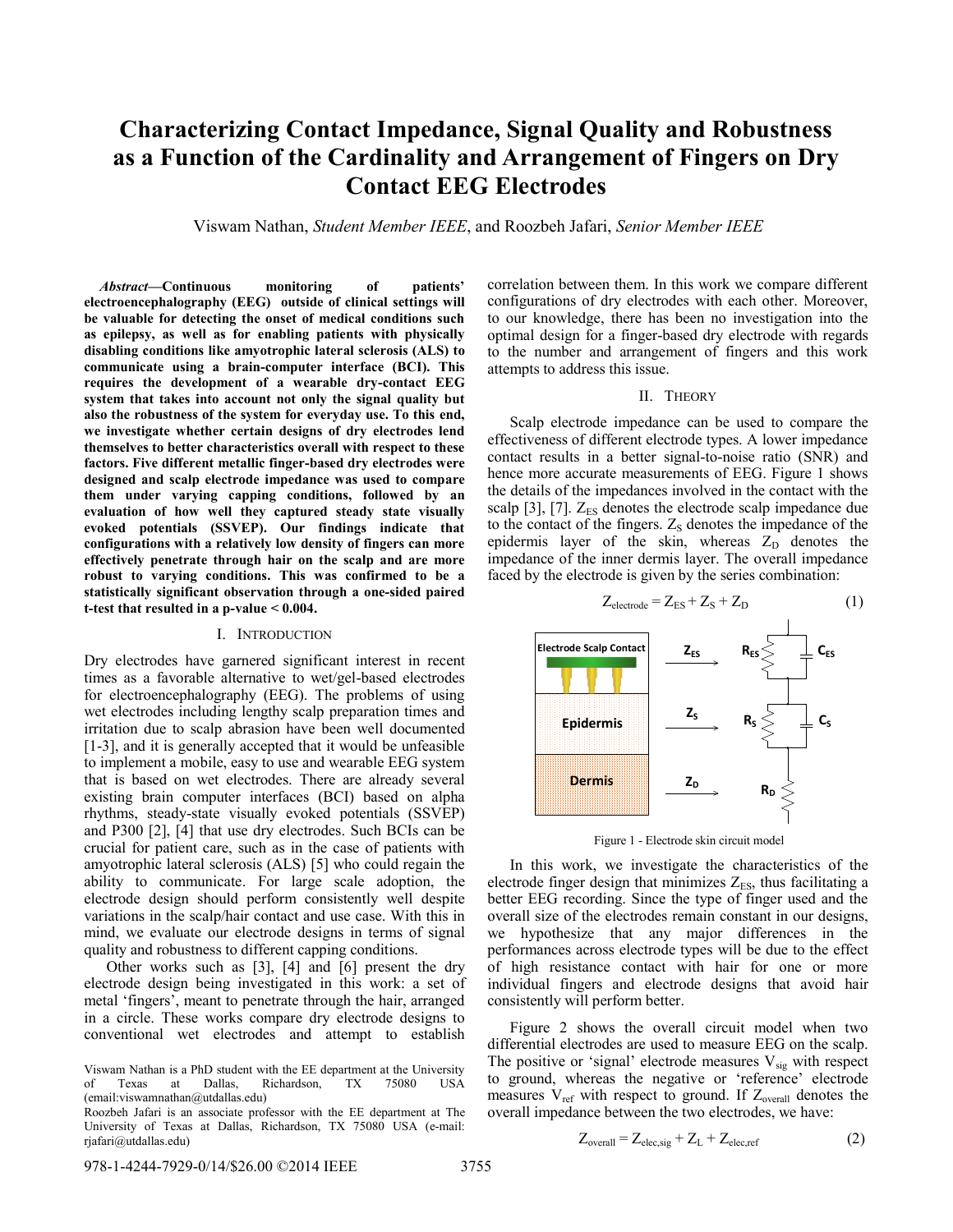# **Characterizing Contact Impedance, Signal Quality and Robustness as a Function of the Cardinality and Arrangement of Fingers on Dry Contact EEG Electrodes**

Viswam Nathan, *Student Member IEEE*, and Roozbeh Jafari, *Senior Member IEEE*

*Abstract***—Continuous monitoring of patients' electroencephalography (EEG) outside of clinical settings will be valuable for detecting the onset of medical conditions such as epilepsy, as well as for enabling patients with physically disabling conditions like amyotrophic lateral sclerosis (ALS) to communicate using a brain-computer interface (BCI). This requires the development of a wearable dry-contact EEG system that takes into account not only the signal quality but also the robustness of the system for everyday use. To this end, we investigate whether certain designs of dry electrodes lend themselves to better characteristics overall with respect to these factors. Five different metallic finger-based dry electrodes were designed and scalp electrode impedance was used to compare them under varying capping conditions, followed by an evaluation of how well they captured steady state visually evoked potentials (SSVEP). Our findings indicate that configurations with a relatively low density of fingers can more effectively penetrate through hair on the scalp and are more robust to varying conditions. This was confirmed to be a statistically significant observation through a one-sided paired t-test that resulted in a p-value < 0.004.**

#### I. INTRODUCTION

Dry electrodes have garnered significant interest in recent times as a favorable alternative to wet/gel-based electrodes for electroencephalography (EEG). The problems of using wet electrodes including lengthy scalp preparation times and irritation due to scalp abrasion have been well documented [1-3], and it is generally accepted that it would be unfeasible to implement a mobile, easy to use and wearable EEG system that is based on wet electrodes. There are already several existing brain computer interfaces (BCI) based on alpha rhythms, steady-state visually evoked potentials (SSVEP) and P300 [2], [4] that use dry electrodes. Such BCIs can be crucial for patient care, such as in the case of patients with amyotrophic lateral sclerosis (ALS) [5] who could regain the ability to communicate. For large scale adoption, the electrode design should perform consistently well despite variations in the scalp/hair contact and use case. With this in mind, we evaluate our electrode designs in terms of signal quality and robustness to different capping conditions.

Other works such as [3], [4] and [6] present the dry electrode design being investigated in this work: a set of metal 'fingers', meant to penetrate through the hair, arranged in a circle. These works compare dry electrode designs to conventional wet electrodes and attempt to establish

Roozbeh Jafari is an associate professor with the EE department at The University of Texas at Dallas, Richardson, TX 75080 USA (e-mail: rjafari@utdallas.edu)

correlation between them. In this work we compare different configurations of dry electrodes with each other. Moreover, to our knowledge, there has been no investigation into the optimal design for a finger-based dry electrode with regards to the number and arrangement of fingers and this work attempts to address this issue.

#### II. THEORY

Scalp electrode impedance can be used to compare the effectiveness of different electrode types. A lower impedance contact results in a better signal-to-noise ratio (SNR) and hence more accurate measurements of EEG. Figure 1 shows the details of the impedances involved in the contact with the scalp [3], [7].  $Z_{ES}$  denotes the electrode scalp impedance due to the contact of the fingers.  $Z<sub>S</sub>$  denotes the impedance of the epidermis layer of the skin, whereas  $Z_D$  denotes the impedance of the inner dermis layer. The overall impedance faced by the electrode is given by the series combination:



Figure 1 - Electrode skin circuit model

In this work, we investigate the characteristics of the electrode finger design that minimizes  $Z_{ES}$ , thus facilitating a better EEG recording. Since the type of finger used and the overall size of the electrodes remain constant in our designs, we hypothesize that any major differences in the performances across electrode types will be due to the effect of high resistance contact with hair for one or more individual fingers and electrode designs that avoid hair consistently will perform better.

Figure 2 shows the overall circuit model when two differential electrodes are used to measure EEG on the scalp. The positive or 'signal' electrode measures  $V_{sig}$  with respect to ground, whereas the negative or 'reference' electrode measures  $V_{ref}$  with respect to ground. If  $Z_{overall}$  denotes the overall impedance between the two electrodes, we have:

$$
Z_{\text{overall}} = Z_{\text{elec,sig}} + Z_{\text{L}} + Z_{\text{elec,ref}} \tag{2}
$$

Viswam Nathan is a PhD student with the EE department at the University of Texas at Dallas, Richardson, TX 75080 USA (email:viswamnathan@utdallas.edu)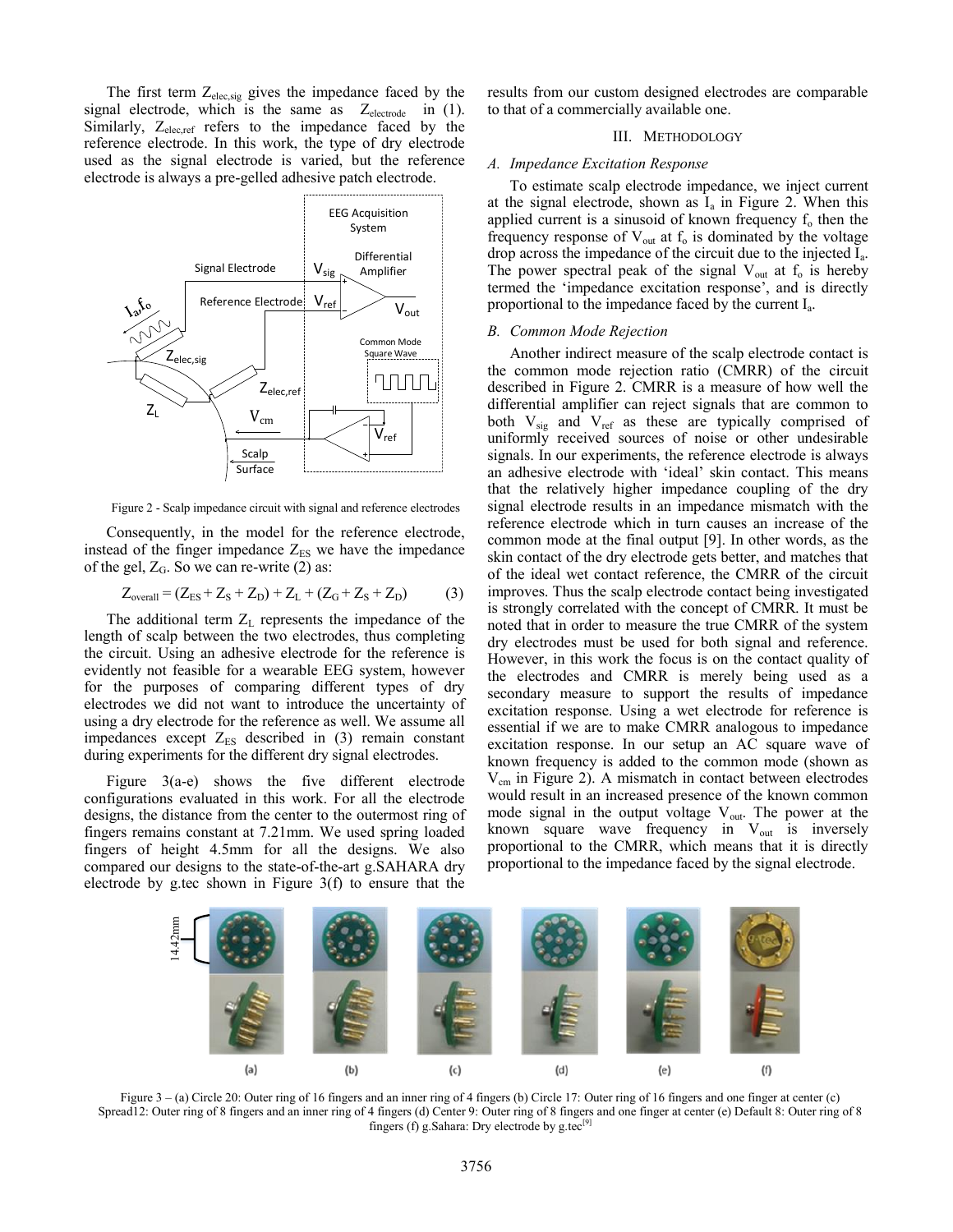The first term  $Z_{elec,sig}$  gives the impedance faced by the signal electrode, which is the same as  $Z_{\text{electrode}}$  in (1). Similarly,  $Z_{elec,ref}$  refers to the impedance faced by the reference electrode. In this work, the type of dry electrode used as the signal electrode is varied, but the reference electrode is always a pre-gelled adhesive patch electrode.



Figure 2 - Scalp impedance circuit with signal and reference electrodes

Consequently, in the model for the reference electrode, instead of the finger impedance  $Z_{ES}$  we have the impedance of the gel,  $Z_G$ . So we can re-write (2) as:

$$
Z_{\text{overall}} = (Z_{\text{ES}} + Z_{\text{S}} + Z_{\text{D}}) + Z_{\text{L}} + (Z_{\text{G}} + Z_{\text{S}} + Z_{\text{D}}) \tag{3}
$$

The additional term  $Z_L$  represents the impedance of the length of scalp between the two electrodes, thus completing the circuit. Using an adhesive electrode for the reference is evidently not feasible for a wearable EEG system, however for the purposes of comparing different types of dry electrodes we did not want to introduce the uncertainty of using a dry electrode for the reference as well. We assume all impedances except  $Z_{ES}$  described in (3) remain constant during experiments for the different dry signal electrodes.

Figure 3(a-e) shows the five different electrode configurations evaluated in this work. For all the electrode designs, the distance from the center to the outermost ring of fingers remains constant at 7.21mm. We used spring loaded fingers of height 4.5mm for all the designs. We also compared our designs to the state-of-the-art g.SAHARA dry electrode by g.tec shown in Figure 3(f) to ensure that the

results from our custom designed electrodes are comparable to that of a commercially available one.

## III. METHODOLOGY

## *A. Impedance Excitation Response*

To estimate scalp electrode impedance, we inject current at the signal electrode, shown as  $I_a$  in Figure 2. When this applied current is a sinusoid of known frequency  $f_0$  then the frequency response of  $V_{out}$  at  $f_0$  is dominated by the voltage drop across the impedance of the circuit due to the injected I<sup>a</sup> . The power spectral peak of the signal  $V_{out}$  at  $f_0$  is hereby termed the 'impedance excitation response', and is directly proportional to the impedance faced by the current I<sub>a</sub>.

## *B. Common Mode Rejection*

Another indirect measure of the scalp electrode contact is the common mode rejection ratio (CMRR) of the circuit described in Figure 2. CMRR is a measure of how well the differential amplifier can reject signals that are common to both  $V_{sig}$  and  $V_{ref}$  as these are typically comprised of uniformly received sources of noise or other undesirable signals. In our experiments, the reference electrode is always an adhesive electrode with 'ideal' skin contact. This means that the relatively higher impedance coupling of the dry signal electrode results in an impedance mismatch with the reference electrode which in turn causes an increase of the common mode at the final output [9]. In other words, as the skin contact of the dry electrode gets better, and matches that of the ideal wet contact reference, the CMRR of the circuit improves. Thus the scalp electrode contact being investigated is strongly correlated with the concept of CMRR. It must be noted that in order to measure the true CMRR of the system dry electrodes must be used for both signal and reference. However, in this work the focus is on the contact quality of the electrodes and CMRR is merely being used as a secondary measure to support the results of impedance excitation response. Using a wet electrode for reference is essential if we are to make CMRR analogous to impedance excitation response. In our setup an AC square wave of known frequency is added to the common mode (shown as  $V_{cm}$  in Figure 2). A mismatch in contact between electrodes would result in an increased presence of the known common mode signal in the output voltage  $V_{out}$ . The power at the known square wave frequency in  $V_{out}$  is inversely proportional to the CMRR, which means that it is directly proportional to the impedance faced by the signal electrode.



Figure  $3 - (a)$  Circle 20: Outer ring of 16 fingers and an inner ring of 4 fingers (b) Circle 17: Outer ring of 16 fingers and one finger at center (c) Spread12: Outer ring of 8 fingers and an inner ring of 4 fingers (d) Center 9: Outer ring of 8 fingers and one finger at center (e) Default 8: Outer ring of 8 fingers (f) g.Sahara: Dry electrode by g.tec $[9]$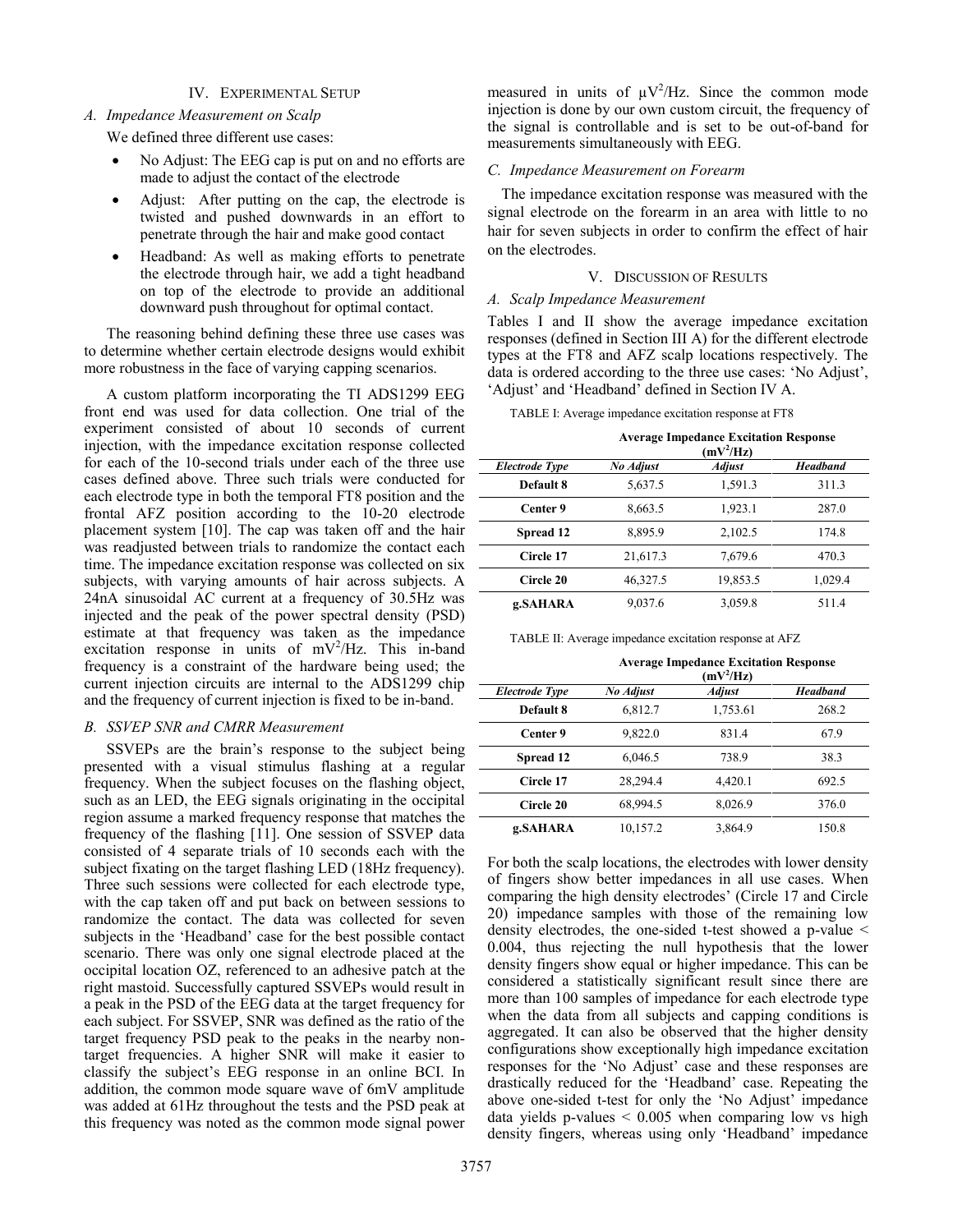## IV. EXPERIMENTAL SETUP

## *A. Impedance Measurement on Scalp*

We defined three different use cases:

- No Adjust: The EEG cap is put on and no efforts are made to adjust the contact of the electrode
- Adjust: After putting on the cap, the electrode is twisted and pushed downwards in an effort to penetrate through the hair and make good contact
- Headband: As well as making efforts to penetrate the electrode through hair, we add a tight headband on top of the electrode to provide an additional downward push throughout for optimal contact.

The reasoning behind defining these three use cases was to determine whether certain electrode designs would exhibit more robustness in the face of varying capping scenarios.

A custom platform incorporating the TI ADS1299 EEG front end was used for data collection. One trial of the experiment consisted of about 10 seconds of current injection, with the impedance excitation response collected for each of the 10-second trials under each of the three use cases defined above. Three such trials were conducted for each electrode type in both the temporal FT8 position and the frontal AFZ position according to the 10-20 electrode placement system [10]. The cap was taken off and the hair was readjusted between trials to randomize the contact each time. The impedance excitation response was collected on six subjects, with varying amounts of hair across subjects. A 24nA sinusoidal AC current at a frequency of 30.5Hz was injected and the peak of the power spectral density (PSD) estimate at that frequency was taken as the impedance excitation response in units of  $mV^2/Hz$ . This in-band frequency is a constraint of the hardware being used; the current injection circuits are internal to the ADS1299 chip and the frequency of current injection is fixed to be in-band.

## *B. SSVEP SNR and CMRR Measurement*

SSVEPs are the brain's response to the subject being presented with a visual stimulus flashing at a regular frequency. When the subject focuses on the flashing object, such as an LED, the EEG signals originating in the occipital region assume a marked frequency response that matches the frequency of the flashing [11]. One session of SSVEP data consisted of 4 separate trials of 10 seconds each with the subject fixating on the target flashing LED (18Hz frequency). Three such sessions were collected for each electrode type, with the cap taken off and put back on between sessions to randomize the contact. The data was collected for seven subjects in the 'Headband' case for the best possible contact scenario. There was only one signal electrode placed at the occipital location OZ, referenced to an adhesive patch at the right mastoid. Successfully captured SSVEPs would result in a peak in the PSD of the EEG data at the target frequency for each subject. For SSVEP, SNR was defined as the ratio of the target frequency PSD peak to the peaks in the nearby nontarget frequencies. A higher SNR will make it easier to classify the subject's EEG response in an online BCI. In addition, the common mode square wave of 6mV amplitude was added at 61Hz throughout the tests and the PSD peak at this frequency was noted as the common mode signal power

measured in units of  $\mu V^2 / Hz$ . Since the common mode injection is done by our own custom circuit, the frequency of the signal is controllable and is set to be out-of-band for measurements simultaneously with EEG.

### *C. Impedance Measurement on Forearm*

The impedance excitation response was measured with the signal electrode on the forearm in an area with little to no hair for seven subjects in order to confirm the effect of hair on the electrodes.

#### V. DISCUSSION OF RESULTS

## *A. Scalp Impedance Measurement*

Tables I and II show the average impedance excitation responses (defined in Section III A) for the different electrode types at the FT8 and AFZ scalp locations respectively. The data is ordered according to the three use cases: 'No Adjust', 'Adjust' and 'Headband' defined in Section IV A.

TABLE I: Average impedance excitation response at FT8

|                       | <b>Average Impedance Excitation Response</b><br>$(mV^2/Hz)$ |               |                 |
|-----------------------|-------------------------------------------------------------|---------------|-----------------|
| <b>Electrode Type</b> | No Adjust                                                   | <b>Adjust</b> | <b>Headband</b> |
| Default 8             | 5,637.5                                                     | 1,591.3       | 311.3           |
| Center 9              | 8,663.5                                                     | 1,923.1       | 287.0           |
| Spread 12             | 8,895.9                                                     | 2,102.5       | 174.8           |
| Circle 17             | 21,617.3                                                    | 7,679.6       | 470.3           |
| Circle 20             | 46,327.5                                                    | 19,853.5      | 1,029.4         |
| g.SAHARA              | 9,037.6                                                     | 3,059.8       | 511.4           |

TABLE II: Average impedance excitation response at AFZ

|                       | <b>Average Impedance Excitation Response</b><br>$(mV^2/Hz)$ |               |                 |
|-----------------------|-------------------------------------------------------------|---------------|-----------------|
| <b>Electrode Type</b> | No Adjust                                                   | <b>Adjust</b> | <b>Headband</b> |
| Default 8             | 6,812.7                                                     | 1,753.61      | 268.2           |
| Center 9              | 9,822.0                                                     | 831.4         | 67.9            |
| Spread 12             | 6,046.5                                                     | 738.9         | 38.3            |
| Circle 17             | 28,294.4                                                    | 4,420.1       | 692.5           |
| Circle 20             | 68,994.5                                                    | 8,026.9       | 376.0           |
| g.SAHARA              | 10,157.2                                                    | 3,864.9       | 150.8           |

For both the scalp locations, the electrodes with lower density of fingers show better impedances in all use cases. When comparing the high density electrodes' (Circle 17 and Circle 20) impedance samples with those of the remaining low density electrodes, the one-sided t-test showed a p-value < 0.004, thus rejecting the null hypothesis that the lower density fingers show equal or higher impedance. This can be considered a statistically significant result since there are more than 100 samples of impedance for each electrode type when the data from all subjects and capping conditions is aggregated. It can also be observed that the higher density configurations show exceptionally high impedance excitation responses for the 'No Adjust' case and these responses are drastically reduced for the 'Headband' case. Repeating the above one-sided t-test for only the 'No Adjust' impedance data yields p-values  $\leq 0.005$  when comparing low vs high density fingers, whereas using only 'Headband' impedance